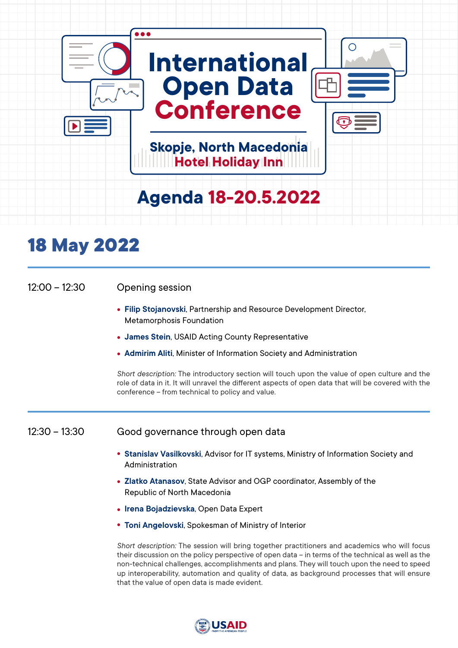

| $12:00 - 12:30$ | Opening session                                                                                                                                                                                                                                                                                    |  |
|-----------------|----------------------------------------------------------------------------------------------------------------------------------------------------------------------------------------------------------------------------------------------------------------------------------------------------|--|
|                 | • Filip Stojanovski, Partnership and Resource Development Director,<br><b>Metamorphosis Foundation</b>                                                                                                                                                                                             |  |
|                 | • James Stein, USAID Acting County Representative                                                                                                                                                                                                                                                  |  |
|                 | • Admirim Aliti, Minister of Information Society and Administration                                                                                                                                                                                                                                |  |
|                 | Short description: The introductory section will touch upon the value of open culture and the<br>role of data in it. It will unravel the different aspects of open data that will be covered with the<br>conference - from technical to policy and value.                                          |  |
| $12:30 - 13:30$ | Good governance through open data                                                                                                                                                                                                                                                                  |  |
|                 | • Stanislav Vasilkovski, Advisor for IT systems, Ministry of Information Society and<br>Administration                                                                                                                                                                                             |  |
|                 | • Zlatko Atanasov, State Advisor and OGP coordinator, Assembly of the<br>Republic of North Macedonia                                                                                                                                                                                               |  |
|                 | • Irena Bojadzievska, Open Data Expert                                                                                                                                                                                                                                                             |  |
|                 | • Toni Angelovski, Spokesman of Ministry of Interior                                                                                                                                                                                                                                               |  |
|                 | Short description: The session will bring together practitioners and academics who will focus<br>their discussion on the policy perspective of open data - in terms of the technical as well as the<br>non-technical challenges, accomplishments and plans. They will touch upon the need to speed |  |



that the value of open data is made evident.

up interoperability, automation and quality of data, as background processes that will ensure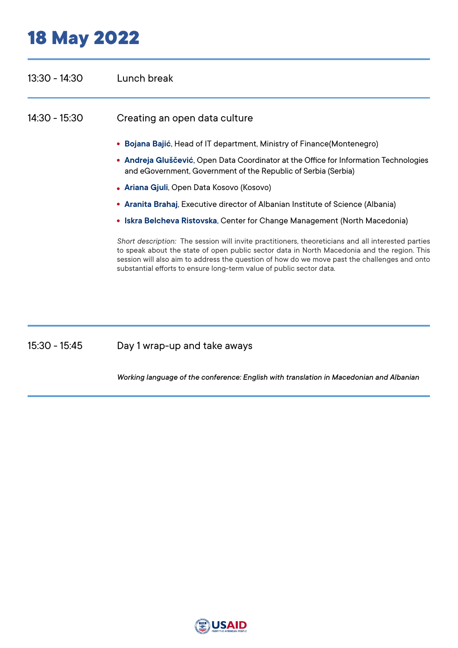| $13:30 - 14:30$ | Lunch break                                                                                                                                                                                                                                                                                                                                                               |
|-----------------|---------------------------------------------------------------------------------------------------------------------------------------------------------------------------------------------------------------------------------------------------------------------------------------------------------------------------------------------------------------------------|
| $14:30 - 15:30$ | Creating an open data culture                                                                                                                                                                                                                                                                                                                                             |
|                 | • Bojana Bajić, Head of IT department, Ministry of Finance (Montenegro)                                                                                                                                                                                                                                                                                                   |
|                 | • Andreja Gluščević, Open Data Coordinator at the Office for Information Technologies<br>and eGovernment, Government of the Republic of Serbia (Serbia)                                                                                                                                                                                                                   |
|                 | • Ariana Gjuli, Open Data Kosovo (Kosovo)                                                                                                                                                                                                                                                                                                                                 |
|                 | • Aranita Brahaj, Executive director of Albanian Institute of Science (Albania)                                                                                                                                                                                                                                                                                           |
|                 | • Iskra Belcheva Ristovska, Center for Change Management (North Macedonia)                                                                                                                                                                                                                                                                                                |
|                 | Short description: The session will invite practitioners, theoreticians and all interested parties<br>to speak about the state of open public sector data in North Macedonia and the region. This<br>session will also aim to address the question of how do we move past the challenges and onto<br>substantial efforts to ensure long-term value of public sector data. |

Day 1 wrap-up and take aways 15:30 - 15:45

*Working language of the conference: English with translation in Macedonian and Albanian*

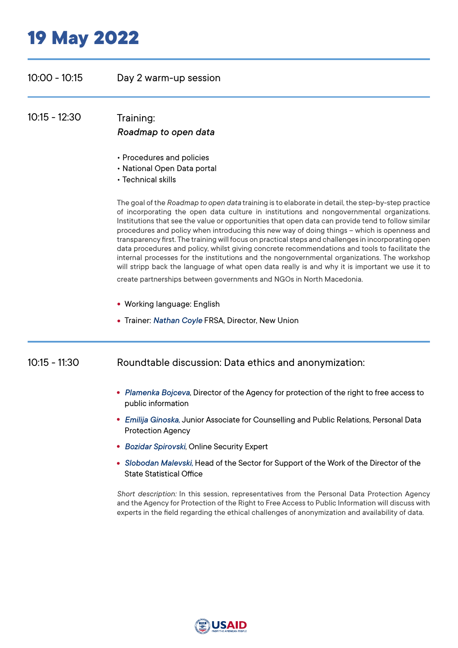### 10:00 - 10:15 Day 2 warm-up session

10:15 - 12:30 Training: *Roadmap to open data*

- Procedures and policies
- National Open Data portal
- Technical skills

The goal of the *Roadmap to open data* training is to elaborate in detail, the step-by-step practice of incorporating the open data culture in institutions and nongovernmental organizations. Institutions that see the value or opportunities that open data can provide tend to follow similar procedures and policy when introducing this new way of doing things – which is openness and transparency first. The training will focus on practical steps and challenges in incorporating open data procedures and policy, whilst giving concrete recommendations and tools to facilitate the internal processes for the institutions and the nongovernmental organizations. The workshop will stripp back the language of what open data really is and why it is important we use it to create partnerships between governments and NGOs in North Macedonia.

- Working language: English
- Trainer: *Nathan Coyle* FRSA, Director, New Union

#### 10:15 - 11:30 Roundtable discussion: Data ethics and anonymization:

- *Plamenka Bojceva*, Director of the Agency for protection of the right to free access to public information
- *Emilija Ginoska,* Јunior Аssociate for Counselling and Public Relations, Personal Data Protection Agency
- *Bozidar Spirovski*, Online Security Expert
- *Slobodan Malevski,* Head of the Sector for Support of the Work of the Director of the State Statistical Office

*Short description:* In this session, representatives from the Personal Data Protection Agency and the Agency for Protection of the Right to Free Access to Public Information will discuss with experts in the field regarding the ethical challenges of anonymization and availability of data.

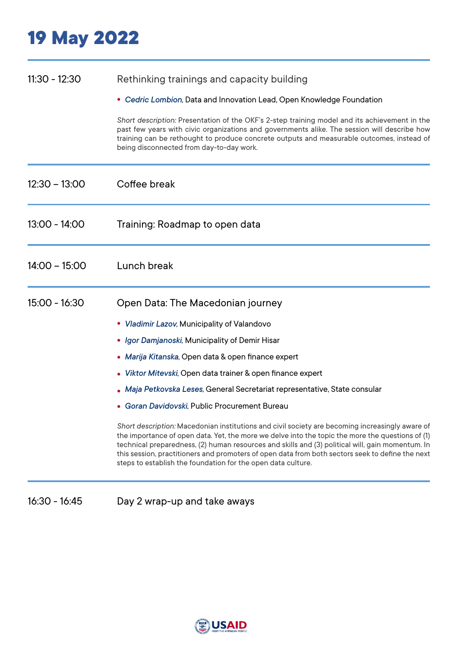#### 11:30 - 12:30 Rethinking trainings and capacity building

*Cedric Lombion*, Data and Innovation Lead, Open Knowledge Foundation

*Short description:* Presentation of the OKF's 2-step training model and its achievement in the past few years with civic organizations and governments alike. The session will describe how training can be rethought to produce concrete outputs and measurable outcomes, instead of being disconnected from day-to-day work.

| $12:30 - 13:00$ | Coffee break                                                                                                                                                                                                                                                                                                                                                                                                                                                                |
|-----------------|-----------------------------------------------------------------------------------------------------------------------------------------------------------------------------------------------------------------------------------------------------------------------------------------------------------------------------------------------------------------------------------------------------------------------------------------------------------------------------|
| 13:00 - 14:00   | Training: Roadmap to open data                                                                                                                                                                                                                                                                                                                                                                                                                                              |
| $14:00 - 15:00$ | Lunch break                                                                                                                                                                                                                                                                                                                                                                                                                                                                 |
| $15:00 - 16:30$ | Open Data: The Macedonian journey                                                                                                                                                                                                                                                                                                                                                                                                                                           |
|                 | • Vladimir Lazov, Municipality of Valandovo                                                                                                                                                                                                                                                                                                                                                                                                                                 |
|                 | • Igor Damjanoski, Municipality of Demir Hisar                                                                                                                                                                                                                                                                                                                                                                                                                              |
|                 | • Marija Kitanska, Open data & open finance expert                                                                                                                                                                                                                                                                                                                                                                                                                          |
|                 | • Viktor Mitevski, Open data trainer & open finance expert                                                                                                                                                                                                                                                                                                                                                                                                                  |
|                 | • Maja Petkovska Leses, General Secretariat representative, State consular                                                                                                                                                                                                                                                                                                                                                                                                  |
|                 | • Goran Davidovski, Public Procurement Bureau                                                                                                                                                                                                                                                                                                                                                                                                                               |
|                 | Short description: Macedonian institutions and civil society are becoming increasingly aware of<br>the importance of open data. Yet, the more we delve into the topic the more the questions of (1)<br>technical preparedness, (2) human resources and skills and (3) political will, gain momentum. In<br>this session, practitioners and promoters of open data from both sectors seek to define the next<br>steps to establish the foundation for the open data culture. |

16:30 - 16:45 Day 2 wrap-up and take aways